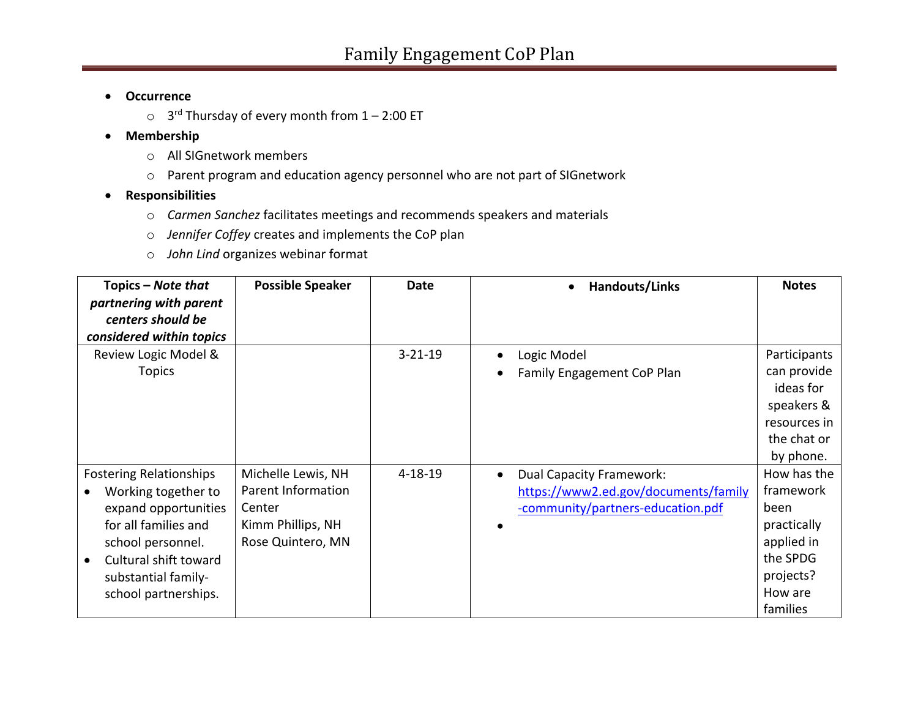### • **Occurrence**

 $\circ$  3<sup>rd</sup> Thursday of every month from  $1 - 2:00$  ET

### • **Membership**

- o All SIGnetwork members
- o Parent program and education agency personnel who are not part of SIGnetwork
- **Responsibilities**
	- o *Carmen Sanchez* facilitates meetings and recommends speakers and materials
	- o *Jennifer Coffey* creates and implements the CoP plan
	- o *John Lind* organizes webinar format

| Topics – Note that             | <b>Possible Speaker</b> | Date          | Handouts/Links                               | <b>Notes</b> |
|--------------------------------|-------------------------|---------------|----------------------------------------------|--------------|
| partnering with parent         |                         |               |                                              |              |
| centers should be              |                         |               |                                              |              |
| considered within topics       |                         |               |                                              |              |
| Review Logic Model &           |                         | $3 - 21 - 19$ | Logic Model<br>٠                             | Participants |
| <b>Topics</b>                  |                         |               | Family Engagement CoP Plan<br>$\bullet$      | can provide  |
|                                |                         |               |                                              | ideas for    |
|                                |                         |               |                                              | speakers &   |
|                                |                         |               |                                              | resources in |
|                                |                         |               |                                              | the chat or  |
|                                |                         |               |                                              | by phone.    |
| <b>Fostering Relationships</b> | Michelle Lewis, NH      | $4 - 18 - 19$ | <b>Dual Capacity Framework:</b><br>$\bullet$ | How has the  |
| Working together to            | Parent Information      |               | https://www2.ed.gov/documents/family         | framework    |
| expand opportunities           | Center                  |               | -community/partners-education.pdf            | been         |
| for all families and           | Kimm Phillips, NH       |               |                                              | practically  |
| school personnel.              | Rose Quintero, MN       |               |                                              | applied in   |
| Cultural shift toward          |                         |               |                                              | the SPDG     |
| substantial family-            |                         |               |                                              | projects?    |
| school partnerships.           |                         |               |                                              | How are      |
|                                |                         |               |                                              | families     |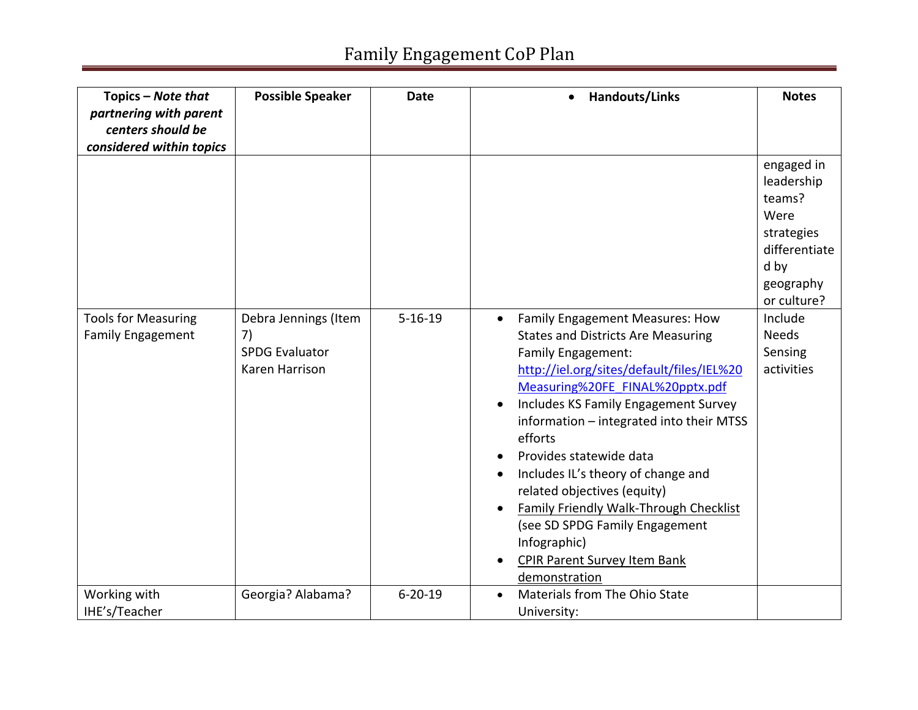# Family Engagement CoP Plan

| Topics - Note that<br>partnering with parent<br>centers should be<br>considered within topics | <b>Possible Speaker</b>                                               | <b>Date</b>   | <b>Handouts/Links</b><br>$\bullet$                                                                                                                                                                                                                                                                                                                                                                                                                                                                                                                                           | <b>Notes</b>                                                                                                             |
|-----------------------------------------------------------------------------------------------|-----------------------------------------------------------------------|---------------|------------------------------------------------------------------------------------------------------------------------------------------------------------------------------------------------------------------------------------------------------------------------------------------------------------------------------------------------------------------------------------------------------------------------------------------------------------------------------------------------------------------------------------------------------------------------------|--------------------------------------------------------------------------------------------------------------------------|
|                                                                                               |                                                                       | $5 - 16 - 19$ |                                                                                                                                                                                                                                                                                                                                                                                                                                                                                                                                                                              | engaged in<br>leadership<br>teams?<br>Were<br>strategies<br>differentiate<br>d by<br>geography<br>or culture?<br>Include |
| <b>Tools for Measuring</b><br><b>Family Engagement</b>                                        | Debra Jennings (Item<br>7)<br><b>SPDG Evaluator</b><br>Karen Harrison |               | Family Engagement Measures: How<br>$\bullet$<br><b>States and Districts Are Measuring</b><br>Family Engagement:<br>http://iel.org/sites/default/files/IEL%20<br>Measuring%20FE FINAL%20pptx.pdf<br>Includes KS Family Engagement Survey<br>$\bullet$<br>information - integrated into their MTSS<br>efforts<br>Provides statewide data<br>Includes IL's theory of change and<br>$\bullet$<br>related objectives (equity)<br>Family Friendly Walk-Through Checklist<br>(see SD SPDG Family Engagement<br>Infographic)<br><b>CPIR Parent Survey Item Bank</b><br>demonstration | <b>Needs</b><br>Sensing<br>activities                                                                                    |
| Working with<br>IHE's/Teacher                                                                 | Georgia? Alabama?                                                     | $6 - 20 - 19$ | Materials from The Ohio State<br>University:                                                                                                                                                                                                                                                                                                                                                                                                                                                                                                                                 |                                                                                                                          |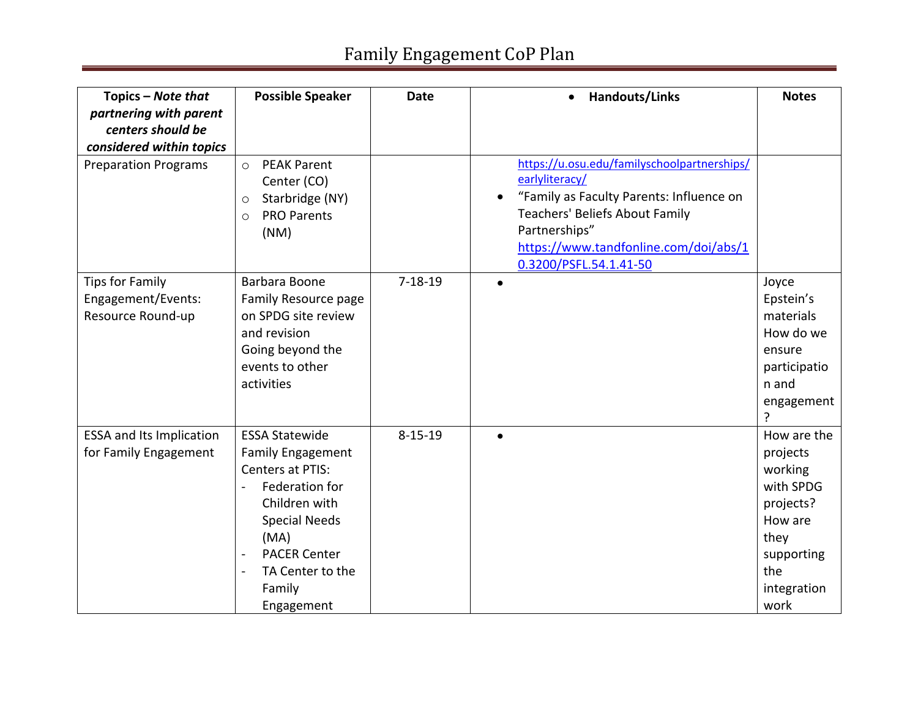# Family Engagement CoP Plan

| Topics - Note that<br>partnering with parent<br>centers should be | <b>Possible Speaker</b>                                                                                                                                                                                                                         | <b>Date</b>   | Handouts/Links                                                                                                                                                                                                                  | <b>Notes</b>                                                                                                                |
|-------------------------------------------------------------------|-------------------------------------------------------------------------------------------------------------------------------------------------------------------------------------------------------------------------------------------------|---------------|---------------------------------------------------------------------------------------------------------------------------------------------------------------------------------------------------------------------------------|-----------------------------------------------------------------------------------------------------------------------------|
| considered within topics                                          |                                                                                                                                                                                                                                                 |               |                                                                                                                                                                                                                                 |                                                                                                                             |
| <b>Preparation Programs</b>                                       | <b>PEAK Parent</b><br>$\circ$<br>Center (CO)<br>Starbridge (NY)<br>$\circ$<br><b>PRO Parents</b><br>$\circ$<br>(NM)                                                                                                                             |               | https://u.osu.edu/familyschoolpartnerships/<br>earlyliteracy/<br>"Family as Faculty Parents: Influence on<br>Teachers' Beliefs About Family<br>Partnerships"<br>https://www.tandfonline.com/doi/abs/1<br>0.3200/PSFL.54.1.41-50 |                                                                                                                             |
| <b>Tips for Family</b><br>Engagement/Events:<br>Resource Round-up | Barbara Boone<br>Family Resource page<br>on SPDG site review<br>and revision<br>Going beyond the<br>events to other<br>activities                                                                                                               | $7 - 18 - 19$ |                                                                                                                                                                                                                                 | Joyce<br>Epstein's<br>materials<br>How do we<br>ensure<br>participatio<br>n and<br>engagement                               |
| <b>ESSA and Its Implication</b><br>for Family Engagement          | <b>ESSA Statewide</b><br><b>Family Engagement</b><br>Centers at PTIS:<br>Federation for<br>$\overline{a}$<br>Children with<br><b>Special Needs</b><br>(MA)<br><b>PACER Center</b><br>$\blacksquare$<br>TA Center to the<br>Family<br>Engagement | $8 - 15 - 19$ | $\bullet$                                                                                                                                                                                                                       | How are the<br>projects<br>working<br>with SPDG<br>projects?<br>How are<br>they<br>supporting<br>the<br>integration<br>work |